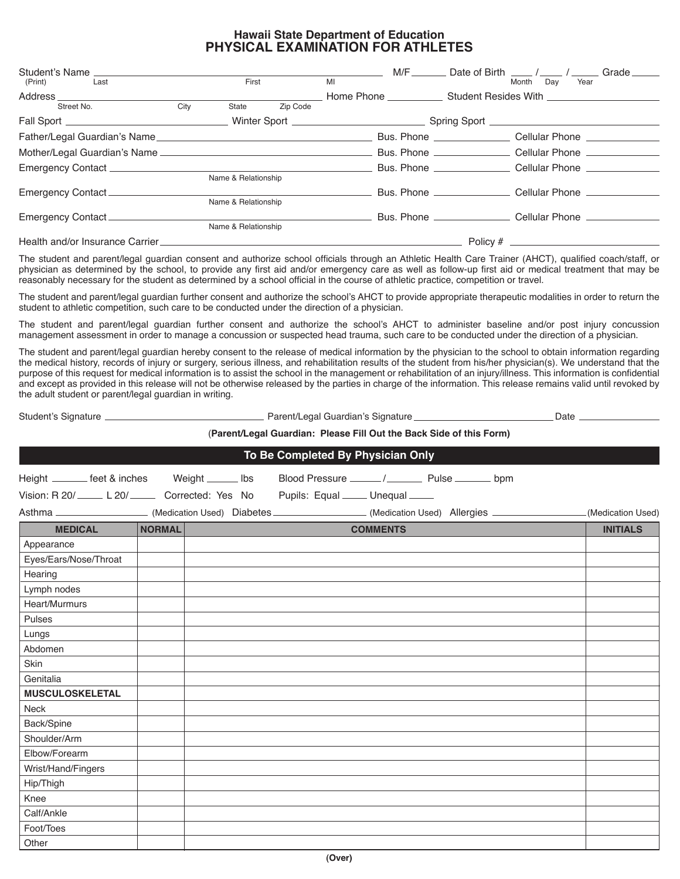## **Hawaii State Department of Education PHYSICAL EXAMINATION FOR ATHLETES**

| Student's Name                 |      |                     |          | M/F                             |                              | Date of Birth / /<br>Grade                                       |  |
|--------------------------------|------|---------------------|----------|---------------------------------|------------------------------|------------------------------------------------------------------|--|
| (Print)<br>Last                |      | First               |          | MI                              |                              | Month<br>Dav<br>Year                                             |  |
| Address ___________            |      |                     |          | Home Phone Student Resides With |                              |                                                                  |  |
| Street No.                     | City | State               | Zip Code |                                 |                              |                                                                  |  |
|                                |      |                     |          |                                 |                              |                                                                  |  |
|                                |      |                     |          |                                 | Bus. Phone <b>Example 20</b> | Cellular Phone <b>Collaboration</b>                              |  |
|                                |      |                     |          |                                 |                              | Bus. Phone ________________________ Cellular Phone _____________ |  |
|                                |      |                     |          |                                 |                              | Bus. Phone _____________________ Cellular Phone ___________      |  |
|                                |      | Name & Relationship |          |                                 |                              |                                                                  |  |
| Emergency Contact ____________ |      |                     |          |                                 |                              | Bus. Phone _______________________ Cellular Phone ___________    |  |
|                                |      | Name & Relationship |          |                                 |                              |                                                                  |  |
| Emergency Contact              |      |                     |          |                                 |                              | Bus. Phone _____________________ Cellular Phone __________       |  |
|                                |      | Name & Relationship |          |                                 |                              |                                                                  |  |
|                                |      |                     |          |                                 |                              |                                                                  |  |
|                                |      |                     |          |                                 |                              |                                                                  |  |

The student and parent/legal guardian consent and authorize school officials through an Athletic Health Care Trainer (AHCT), qualified coach/staff, or physician as determined by the school, to provide any frst aid and/or emergency care as well as follow-up frst aid or medical treatment that may be reasonably necessary for the student as determined by a school offcial in the course of athletic practice, competition or travel.

The student and parent/legal guardian further consent and authorize the school's AHCT to provide appropriate therapeutic modalities in order to return the student to athletic competition, such care to be conducted under the direction of a physician.

The student and parent/legal guardian further consent and authorize the school's AHCT to administer baseline and/or post injury concussion management assessment in order to manage a concussion or suspected head trauma, such care to be conducted under the direction of a physician.

The student and parent/legal guardian hereby consent to the release of medical information by the physician to the school to obtain information regarding the medical history, records of injury or surgery, serious illness, and rehabilitation results of the student from his/her physician(s). We understand that the purpose of this request for medical information is to assist the school in the management or rehabilitation of an injury/illness. This information is confdential and except as provided in this release will not be otherwise released by the parties in charge of the information. This release remains valid until revoked by the adult student or parent/legal guardian in writing.

Student's Signature Late Communication Charles Communication Charles Communication Charles Communication Charles Communication Date Late Date Late Communication Charles Communication Charles Communication Charles Communica

## (**Parent/Legal Guardian: Please Fill Out the Back Side of this Form)**

| To Be Completed By Physician Only                                                                                     |        |  |  |  |                 |  |  |                   |
|-----------------------------------------------------------------------------------------------------------------------|--------|--|--|--|-----------------|--|--|-------------------|
| Height _______ feet & inches Weight ______ lbs                                                                        |        |  |  |  |                 |  |  |                   |
| Vision: R 20/ Le 20/ Corrected: Yes No Pupils: Equal Lunequal Lune                                                    |        |  |  |  |                 |  |  |                   |
| Asthma ______________________(Medication Used) Diabetes __________________(Medication Used) Allergies _______________ |        |  |  |  |                 |  |  | (Medication Used) |
| <b>MEDICAL</b>                                                                                                        | NORMAL |  |  |  | <b>COMMENTS</b> |  |  | <b>INITIALS</b>   |
| Appearance                                                                                                            |        |  |  |  |                 |  |  |                   |
| Eyes/Ears/Nose/Throat                                                                                                 |        |  |  |  |                 |  |  |                   |
| Hearing                                                                                                               |        |  |  |  |                 |  |  |                   |
| Lymph nodes                                                                                                           |        |  |  |  |                 |  |  |                   |
| Heart/Murmurs                                                                                                         |        |  |  |  |                 |  |  |                   |
| Pulses                                                                                                                |        |  |  |  |                 |  |  |                   |
| Lungs                                                                                                                 |        |  |  |  |                 |  |  |                   |
| Abdomen                                                                                                               |        |  |  |  |                 |  |  |                   |
| Skin                                                                                                                  |        |  |  |  |                 |  |  |                   |
| Genitalia                                                                                                             |        |  |  |  |                 |  |  |                   |
| <b>MUSCULOSKELETAL</b>                                                                                                |        |  |  |  |                 |  |  |                   |
| <b>Neck</b>                                                                                                           |        |  |  |  |                 |  |  |                   |
| Back/Spine                                                                                                            |        |  |  |  |                 |  |  |                   |
| Shoulder/Arm                                                                                                          |        |  |  |  |                 |  |  |                   |
| Elbow/Forearm                                                                                                         |        |  |  |  |                 |  |  |                   |
| Wrist/Hand/Fingers                                                                                                    |        |  |  |  |                 |  |  |                   |
| Hip/Thigh                                                                                                             |        |  |  |  |                 |  |  |                   |
| Knee                                                                                                                  |        |  |  |  |                 |  |  |                   |
| Calf/Ankle                                                                                                            |        |  |  |  |                 |  |  |                   |
| Foot/Toes                                                                                                             |        |  |  |  |                 |  |  |                   |
| Other                                                                                                                 |        |  |  |  |                 |  |  |                   |